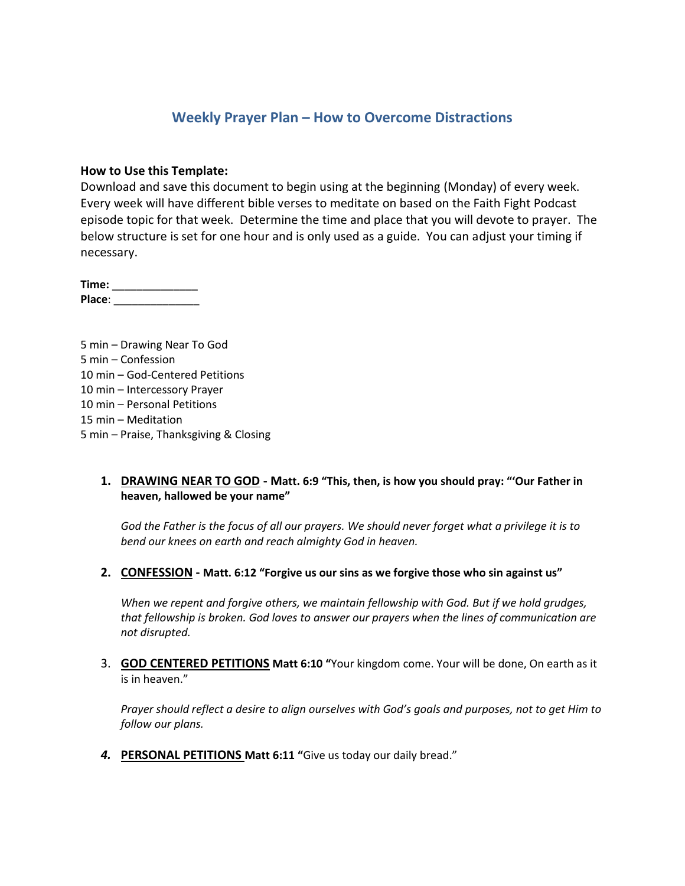## **Weekly Prayer Plan – How to Overcome Distractions**

#### **How to Use this Template:**

Download and save this document to begin using at the beginning (Monday) of every week. Every week will have different bible verses to meditate on based on the Faith Fight Podcast episode topic for that week. Determine the time and place that you will devote to prayer. The below structure is set for one hour and is only used as a guide. You can adjust your timing if necessary.

**Time:** \_\_\_\_\_\_\_\_\_\_\_\_\_\_ **Place**: \_\_\_\_\_\_\_\_\_\_\_\_\_\_

5 min – Drawing Near To God 5 min – Confession 10 min – God-Centered Petitions 10 min – Intercessory Prayer 10 min – Personal Petitions 15 min – Meditation 5 min – Praise, Thanksgiving & Closing

### **1. DRAWING NEAR TO GOD - Matt. 6:9 "This, then, is how you should pray: "'Our Father in heaven, hallowed be your name"**

*God the Father is the focus of all our prayers. We should never forget what a privilege it is to bend our knees on earth and reach almighty God in heaven.*

**2. CONFESSION - Matt. 6:12 "Forgive us our sins as we forgive those who sin against us"**

*When we repent and forgive others, we maintain fellowship with God. But if we hold grudges, that fellowship is broken. God loves to answer our prayers when the lines of communication are not disrupted.*

3. **GOD CENTERED PETITIONS Matt 6:10 "**Your kingdom come. Your will be done, On earth as it is in heaven."

*Prayer should reflect a desire to align ourselves with God's goals and purposes, not to get Him to follow our plans.*

*4.* **PERSONAL PETITIONS Matt 6:11 "**Give us today our daily bread."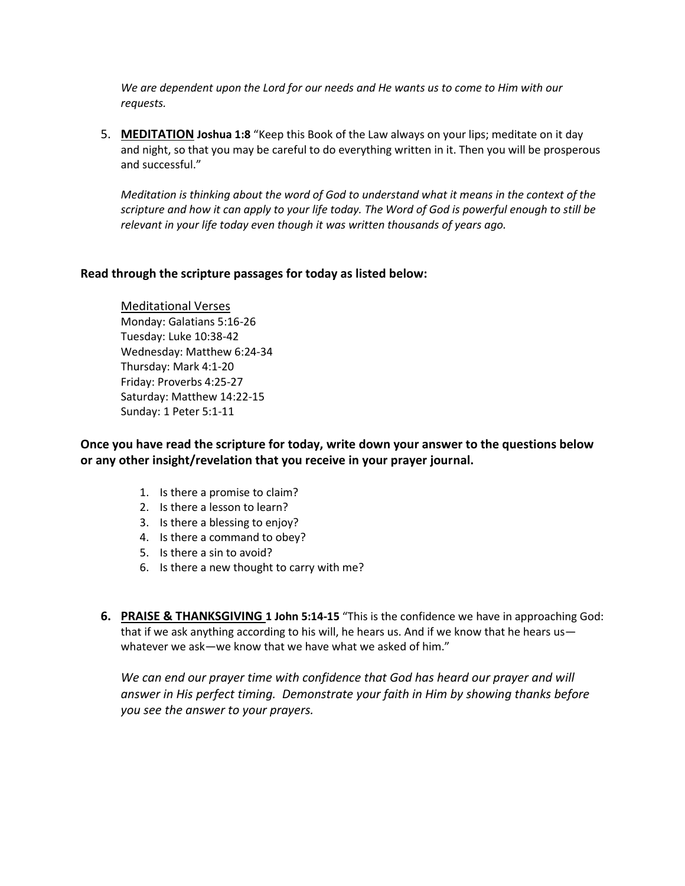*We are dependent upon the Lord for our needs and He wants us to come to Him with our requests.*

5. **MEDITATION Joshua 1:8** "Keep this Book of the Law always on your lips; meditate on it day and night, so that you may be careful to do everything written in it. Then you will be prosperous and successful."

*Meditation is thinking about the word of God to understand what it means in the context of the scripture and how it can apply to your life today. The Word of God is powerful enough to still be relevant in your life today even though it was written thousands of years ago.*

### **Read through the scripture passages for today as listed below:**

Meditational Verses Monday: Galatians 5:16-26 Tuesday: Luke 10:38-42 Wednesday: Matthew 6:24-34 Thursday: Mark 4:1-20 Friday: Proverbs 4:25-27 Saturday: Matthew 14:22-15 Sunday: 1 Peter 5:1-11

**Once you have read the scripture for today, write down your answer to the questions below or any other insight/revelation that you receive in your prayer journal.** 

- 1. Is there a promise to claim?
- 2. Is there a lesson to learn?
- 3. Is there a blessing to enjoy?
- 4. Is there a command to obey?
- 5. Is there a sin to avoid?
- 6. Is there a new thought to carry with me?
- **6. PRAISE & THANKSGIVING 1 John 5:14-15** "This is the confidence we have in approaching God: that if we ask anything according to his will, he hears us. And if we know that he hears us whatever we ask—we know that we have what we asked of him."

We can end our prayer time with confidence that God has heard our prayer and will *answer in His perfect timing. Demonstrate your faith in Him by showing thanks before you see the answer to your prayers.*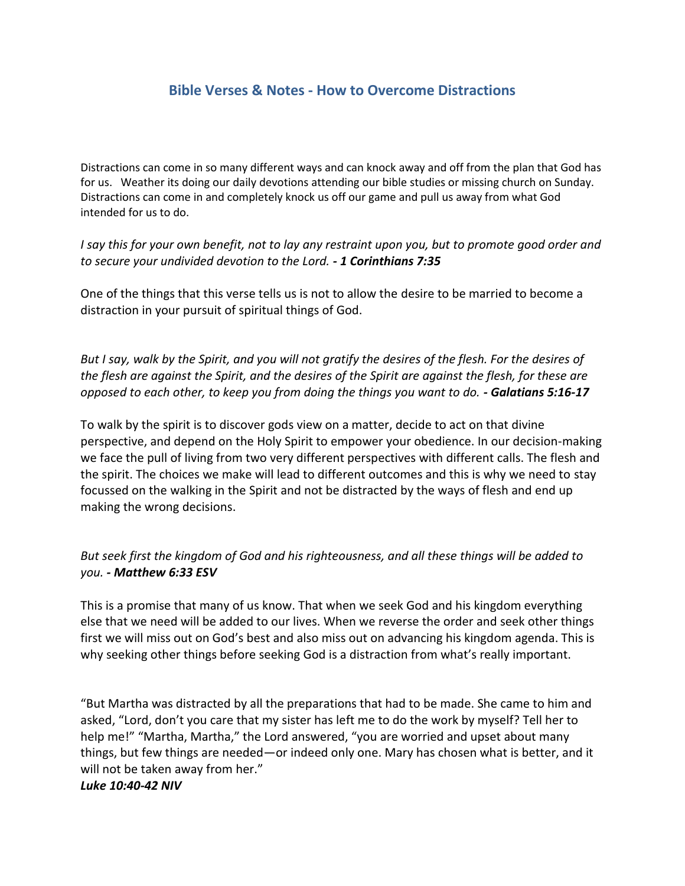# **Bible Verses & Notes - How to Overcome Distractions**

Distractions can come in so many different ways and can knock away and off from the plan that God has for us. Weather its doing our daily devotions attending our bible studies or missing church on Sunday. Distractions can come in and completely knock us off our game and pull us away from what God intended for us to do.

### *I say this for your own benefit, not to lay any restraint upon you, but to promote good order and to secure your undivided devotion to the Lord. - 1 Corinthians 7:35*

One of the things that this verse tells us is not to allow the desire to be married to become a distraction in your pursuit of spiritual things of God.

*But I say, walk by the Spirit, and you will not gratify the desires of the flesh. For the desires of the flesh are against the Spirit, and the desires of the Spirit are against the flesh, for these are opposed to each other, to keep you from doing the things you want to do. - Galatians 5:16-17*

To walk by the spirit is to discover gods view on a matter, decide to act on that divine perspective, and depend on the Holy Spirit to empower your obedience. In our decision-making we face the pull of living from two very different perspectives with different calls. The flesh and the spirit. The choices we make will lead to different outcomes and this is why we need to stay focussed on the walking in the Spirit and not be distracted by the ways of flesh and end up making the wrong decisions.

## *But seek first the kingdom of God and his righteousness, and all these things will be added to you. - Matthew 6:33 ESV*

This is a promise that many of us know. That when we seek God and his kingdom everything else that we need will be added to our lives. When we reverse the order and seek other things first we will miss out on God's best and also miss out on advancing his kingdom agenda. This is why seeking other things before seeking God is a distraction from what's really important.

"But Martha was distracted by all the preparations that had to be made. She came to him and asked, "Lord, don't you care that my sister has left me to do the work by myself? Tell her to help me!" "Martha, Martha," the Lord answered, "you are worried and upset about many things, but few things are needed—or indeed only one. Mary has chosen what is better, and it will not be taken away from her."

#### *Luke 10:40-42 NIV*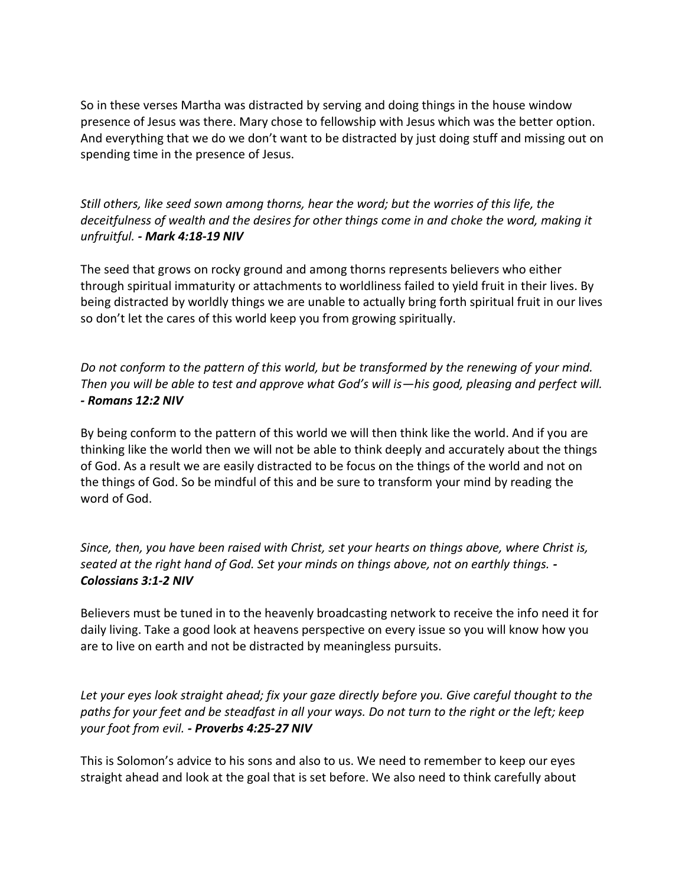So in these verses Martha was distracted by serving and doing things in the house window presence of Jesus was there. Mary chose to fellowship with Jesus which was the better option. And everything that we do we don't want to be distracted by just doing stuff and missing out on spending time in the presence of Jesus.

*Still others, like seed sown among thorns, hear the word; but the worries of this life, the deceitfulness of wealth and the desires for other things come in and choke the word, making it unfruitful. - Mark 4:18-19 NIV*

The seed that grows on rocky ground and among thorns represents believers who either through spiritual immaturity or attachments to worldliness failed to yield fruit in their lives. By being distracted by worldly things we are unable to actually bring forth spiritual fruit in our lives so don't let the cares of this world keep you from growing spiritually.

*Do not conform to the pattern of this world, but be transformed by the renewing of your mind. Then you will be able to test and approve what God's will is—his good, pleasing and perfect will. - Romans 12:2 NIV*

By being conform to the pattern of this world we will then think like the world. And if you are thinking like the world then we will not be able to think deeply and accurately about the things of God. As a result we are easily distracted to be focus on the things of the world and not on the things of God. So be mindful of this and be sure to transform your mind by reading the word of God.

*Since, then, you have been raised with Christ, set your hearts on things above, where Christ is, seated at the right hand of God. Set your minds on things above, not on earthly things. - Colossians 3:1-2 NIV*

Believers must be tuned in to the heavenly broadcasting network to receive the info need it for daily living. Take a good look at heavens perspective on every issue so you will know how you are to live on earth and not be distracted by meaningless pursuits.

*Let your eyes look straight ahead; fix your gaze directly before you. Give careful thought to the paths for your feet and be steadfast in all your ways. Do not turn to the right or the left; keep your foot from evil. - Proverbs 4:25-27 NIV*

This is Solomon's advice to his sons and also to us. We need to remember to keep our eyes straight ahead and look at the goal that is set before. We also need to think carefully about